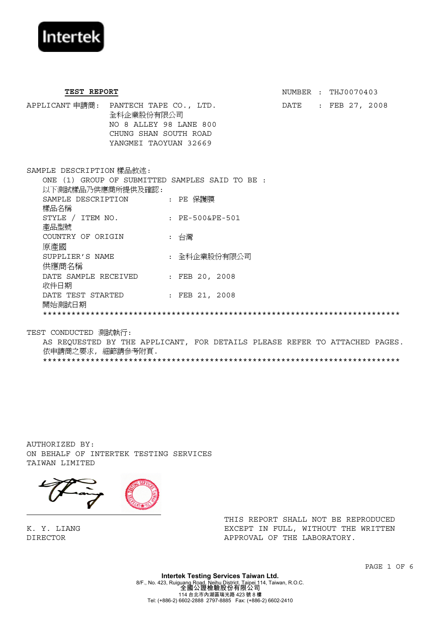

TEST REPORT **NUMBER** : THJ0070403 APPLICANT 申請商: PANTECH TAPE CO., LTD. DATE : FEB 27, 2008 全科企業股份有限公司 NO 8 ALLEY 98 LANE 800 CHUNG SHAN SOUTH ROAD YANGMEI TAOYUAN 32669 SAMPLE DESCRIPTION 樣品敘述: ONE (1) GROUP OF SUBMITTED SAMPLES SAID TO BE : 以下測試樣品乃供應商所提供及確認: SAMPLE DESCRIPTION 樣品名稱 : PE 保護膜 STYLE / ITEM NO. STYLE / ITEM NO. : PE-500&PE-501<br>產品型號 COUNTRY OF ORIGIN 原產國 : 台灣 SUPPLIER'S NAME SUPPLIER'S NAME : 全科企業股份有限公司<br>供應商名稱 DATE SAMPLE RECEIVED : FEB 20, 2008<br>收件日期 DATE TEST STARTED DATE TEST STARTED : FEB 21, 2008<br>開始測試日期 \*\*\*\*\*\*\*\*\*\*\*\*\*\*\*\*\*\*\*\*\*\*\*\*\*\*\*\*\*\*\*\*\*\*\*\*\*\*\*\*\*\*\*\*\*\*\*\*\*\*\*\*\*\*\*\*\*\*\*\*\*\*\*\*\*\*\*\*\*\*\*\*\*\*\*

TEST CONDUCTED 測試執行:

AS REQUESTED BY THE APPLICANT, FOR DETAILS PLEASE REFER TO ATTACHED PAGES. 依申請商之要求, 細節請參考附頁. \*\*\*\*\*\*\*\*\*\*\*\*\*\*\*\*\*\*\*\*\*\*\*\*\*\*\*\*\*\*\*\*\*\*\*\*\*\*\*\*\*\*\*\*\*\*\*\*\*\*\*\*\*\*\*\*\*\*\*\*\*\*\*\*\*\*\*\*\*\*\*\*\*\*\*

AUTHORIZED BY: ON BEHALF OF INTERTEK TESTING SERVICES TAIWAN LIMITED



K. Y. LIANG DIRECTOR

THIS REPORT SHALL NOT BE REPRODUCED EXCEPT IN FULL, WITHOUT THE WRITTEN APPROVAL OF THE LABORATORY.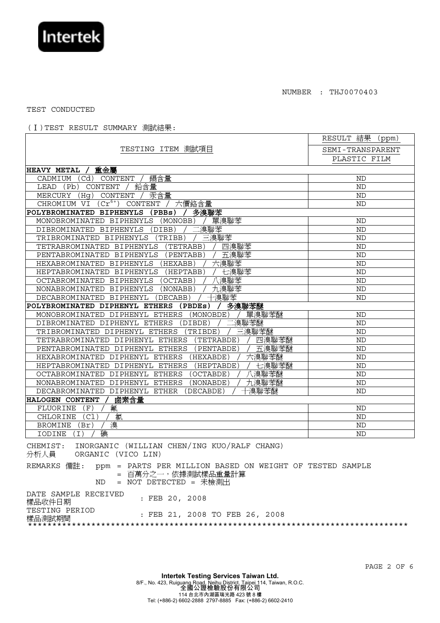

TEST CONDUCTED

(Ⅰ)TEST RESULT SUMMARY 測試結果:

| TESTING ITEM 測試項目<br>SEMI-TRANSPARENT<br>PLASTIC FILM<br>HEAVY METAL /<br>重金屬<br>鎘含量<br>Cd)<br>CADMIUM<br>CONTENT<br><b>ND</b><br>鉛含量<br>(Pb)<br>CONTENT<br>LEAD<br><b>ND</b><br>汞含量<br>MERCURY<br>(Hq)<br>CONTENT<br><b>ND</b> |  |  |  |  |
|---------------------------------------------------------------------------------------------------------------------------------------------------------------------------------------------------------------------------------|--|--|--|--|
|                                                                                                                                                                                                                                 |  |  |  |  |
|                                                                                                                                                                                                                                 |  |  |  |  |
|                                                                                                                                                                                                                                 |  |  |  |  |
|                                                                                                                                                                                                                                 |  |  |  |  |
|                                                                                                                                                                                                                                 |  |  |  |  |
|                                                                                                                                                                                                                                 |  |  |  |  |
| $(\overline{Cr^{6+}})$<br>六價鉻含量<br>CHROMIUM VI<br>CONTENT<br>ND                                                                                                                                                                 |  |  |  |  |
| 多溴聯苯<br>POLYBROMINATED BIPHENYLS<br>(PBBs)                                                                                                                                                                                      |  |  |  |  |
| 單溴聯苯<br>(MONOBB)<br>MONOBROMINATED BIPHENYLS<br><b>ND</b>                                                                                                                                                                       |  |  |  |  |
| 溴聯苯<br>DIBROMINATED BIPHENYLS<br>(DIBB)<br><b>ND</b>                                                                                                                                                                            |  |  |  |  |
| 三溴聯苯<br><b>ND</b><br>TRIBROMINATED BIPHENYLS<br>(TRIBB)                                                                                                                                                                         |  |  |  |  |
| 四溴聯苯<br>(TETRABB)<br><b>ND</b><br>TETRABROMINATED BIPHENYLS                                                                                                                                                                     |  |  |  |  |
| 五溴聯苯<br>PENTABROMINATED BIPHENYLS<br>(PENTABB)<br><b>ND</b>                                                                                                                                                                     |  |  |  |  |
| 六溴聯苯<br><b>ND</b><br>HEXABROMINATED BIPHENYLS<br>(HEXABB)                                                                                                                                                                       |  |  |  |  |
| 七溴聯苯<br>HEPTABROMINATED BIPHENYLS (HEPTABB)<br><b>ND</b>                                                                                                                                                                        |  |  |  |  |
| 溴聯苯<br>(OCTABB)<br><b>ND</b><br>OCTABROMINATED BIPHENYLS                                                                                                                                                                        |  |  |  |  |
| 九溴聯苯<br>NONABROMINATED BIPHENYLS<br>(NONABB)<br><b>ND</b>                                                                                                                                                                       |  |  |  |  |
| 十溴聯苯<br>DECABROMINATED BIPHENYL<br>(DECABB)<br><b>ND</b>                                                                                                                                                                        |  |  |  |  |
| POLYBROMINATED DIPHENYL ETHERS<br>多溴聯苯醚<br>(PBDEs)                                                                                                                                                                              |  |  |  |  |
| 單溴聯苯醚<br>MONOBROMINATED DIPHENYL ETHERS<br><b>ND</b><br>(MONOBDE)                                                                                                                                                               |  |  |  |  |
| 溴聯苯醚<br>(DIBDE)<br>DIBROMINATED DIPHENYL ETHERS<br><b>ND</b>                                                                                                                                                                    |  |  |  |  |
| 三溴聯苯醚<br>TRIBROMINATED DIPHENYL ETHERS<br>(TRIBDE)<br><b>ND</b>                                                                                                                                                                 |  |  |  |  |
| 四溴聯苯醚<br>(TETRABDE)<br><b>ND</b><br>TETRABROMINATED DIPHENYL ETHERS                                                                                                                                                             |  |  |  |  |
| 五溴聯苯醚<br>(PENTABDE)<br>PENTABROMINATED DIPHENYL ETHERS<br><b>ND</b>                                                                                                                                                             |  |  |  |  |
| 六溴聯苯醚<br>HEXABROMINATED DIPHENYL ETHERS<br><b>ND</b><br>(HEXABDE)                                                                                                                                                               |  |  |  |  |
| 七溴聯苯醚<br>HEPTABROMINATED DIPHENYL ETHERS<br>(HEPTABDE)<br>ND                                                                                                                                                                    |  |  |  |  |
| 溴聯苯醚<br>OCTABROMINATED DIPHENYL ETHERS<br>(OCTABDE)<br><b>ND</b>                                                                                                                                                                |  |  |  |  |
| 九溴聯苯醚<br><b>ND</b><br>NONABROMINATED<br>DIPHENYL ETHERS<br>(NONABDE)                                                                                                                                                            |  |  |  |  |
| DIPHENYL ETHER<br>溴聯苯醚<br>DECABROMINATED<br>(DECABDE)<br><b>ND</b>                                                                                                                                                              |  |  |  |  |
| 鹵素含量<br><b>HALOGEN CONTENT</b>                                                                                                                                                                                                  |  |  |  |  |
| 氟<br>FLUORINE<br>$\mathbf{F}$<br>ND                                                                                                                                                                                             |  |  |  |  |
| 氯<br>(Cl<br>CHLORINE<br><b>ND</b>                                                                                                                                                                                               |  |  |  |  |
| 溴<br><b>BROMINE</b><br>(Br)<br><b>ND</b>                                                                                                                                                                                        |  |  |  |  |
| 碘<br>IODINE<br>$\vert$ $\bot$<br><b>ND</b>                                                                                                                                                                                      |  |  |  |  |

CHEMIST: INORGANIC (WILLIAN CHEN/ING KUO/RALF CHANG)<br>分析人員 ORGANIC (VICO LIN) ORGANIC (VICO LIN) REMARKS 備註: ppm = PARTS PER MILLION BASED ON WEIGHT OF TESTED SAMPLE = 百萬分之一,依據測試樣品重量計算 ND = NOT DETECTED = 未檢測出 DATE SAMPLE RECEIVED DATE SAMPLE RECEIVED : FEB 20, 2008<br>樣品收件日期 TESTING PERIOD<br>樣品測試期間 : FEB 21, 2008 TO FEB 26, 2008 \*\*\*\*\*\*\*\*\*\*\*\*\*\*\*\*\*\*\*\*\*\*\*\*\*\*\*\*\*\*\*\*\*\*\*\*\*\*\*\*\*\*\*\*\*\*\*\*\*\*\*\*\*\*\*\*\*\*\*\*\*\*\*\*\*\*\*\*\*\*\*\*\*\*\*\*\*\*

PAGE 2 OF 6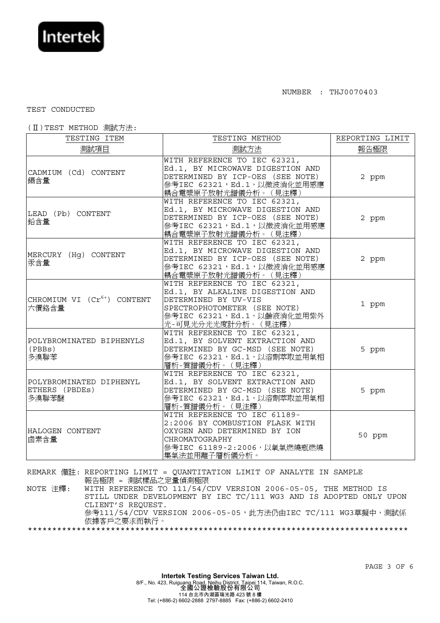

## TEST CONDUCTED

## (Ⅱ)TEST METHOD 測試方法:

| TESTING ITEM                                       | TESTING METHOD                                                                                                                                                              | REPORTING LIMIT |
|----------------------------------------------------|-----------------------------------------------------------------------------------------------------------------------------------------------------------------------------|-----------------|
| 測試項目                                               | 測試方法                                                                                                                                                                        | 報告極限            |
| CADMIUM (Cd) CONTENT<br>鎘含量                        | WITH REFERENCE TO IEC 62321,<br>Ed.1, BY MICROWAVE DIGESTION AND<br>DETERMINED BY ICP-OES (SEE NOTE)<br>參考IEC 62321, Ed.1, 以微波消化並用感應<br>耦合電漿原子放射光譜儀分析。(見注釋)                 | 2 ppm           |
| LEAD (Pb) CONTENT<br>鉛含量                           | WITH REFERENCE TO IEC 62321,<br>Ed.1, BY MICROWAVE DIGESTION AND<br>DETERMINED BY ICP-OES (SEE NOTE)<br>參考IEC 62321,Ed.1,以微波消化並用感應<br>耦合電漿原子放射光譜儀分析。(見注釋)                   | 2 ppm           |
| MERCURY (Hg) CONTENT<br>汞含量                        | WITH REFERENCE TO IEC 62321,<br>Ed.1, BY MICROWAVE DIGESTION AND<br>DETERMINED BY ICP-OES (SEE NOTE)<br>參考IEC 62321,Ed.1,以微波消化並用感應<br>耦合電漿原子放射光譜儀分析。(見注釋)                   | 2 ppm           |
| CHROMIUM VI $(Cr^{6+})$ CONTENT<br>六價鉻含量           | WITH REFERENCE TO IEC 62321,<br>Ed.1, BY ALKALINE DIGESTION AND<br>DETERMINED BY UV-VIS<br>SPECTROPHOTOMETER (SEE NOTE)<br>參考IEC 62321,Ed.1,以鹼液消化並用紫外<br>光-可見光分光光度計分析。(見注釋) | 1 ppm           |
| POLYBROMINATED BIPHENYLS<br>(PBBs)<br>多溴聯苯         | WITH REFERENCE TO IEC 62321,<br>Ed.1, BY SOLVENT EXTRACTION AND<br>DETERMINED BY GC-MSD (SEE NOTE)<br>參考IEC 62321,Ed.1,以溶劑萃取並用氣相<br>層析-質譜儀分析。(見注釋)                          | 5 ppm           |
| POLYBROMINATED DIPHENYL<br>ETHERS (PBDEs)<br>多溴聯苯醚 | WITH REFERENCE TO IEC 62321,<br>Ed.1, BY SOLVENT EXTRACTION AND<br>DETERMINED BY GC-MSD (SEE NOTE)<br>參考IEC 62321,Ed.1,以溶劑萃取並用氣相<br>層析-質譜儀分析。(見注釋)                          | 5 ppm           |
| HALOGEN CONTENT<br>鹵素含量                            | WITH REFERENCE TO IEC 61189-<br>2:2006 BY COMBUSTION FLASK WITH<br>OXYGEN AND DETERMINED BY ION<br>CHROMATOGRAPHY<br>參考IEC 61189-2:2006, 以氧氣燃燒瓶燃燒<br>集氣法並用離子層析儀分析。          | 50 ppm          |

REMARK 備註: REPORTING LIMIT = QUANTITATION LIMIT OF ANALYTE IN SAMPLE 報告極限 = 測試樣品之定量偵測極限

NOTE 注釋: WITH REFERENCE TO 111/54/CDV VERSION 2006-05-05, THE METHOD IS STILL UNDER DEVELOPMENT BY IEC TC/111 WG3 AND IS ADOPTED ONLY UPON CLIENT'S REQUEST. 參考111/54/CDV VERSION 2006-05-05,此方法仍由IEC TC/111 WG3草擬中,測試係<br>依據客戶之要求而執行。 \*\*\*\*\*\*\*\*\*\*\*\*\*\*\*\*\*\*\*\*\*\*\*\*\*\*\*\*\*\*\*\*\*\*\*\*\*\*\*\*\*\*\*\*\*\*\*\*\*\*\*\*\*\*\*\*\*\*\*\*\*\*\*\*\*\*\*\*\*\*\*\*\*\*\*\*\*\*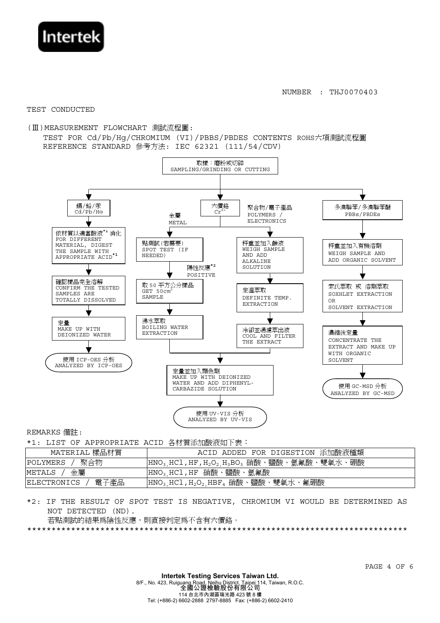

TEST CONDUCTED

(III) MEASUREMENT FLOWCHART 測試流程圖:

TEST FOR Cd/Pb/Hq/CHROMIUM (VI)/PBBS/PBDES CONTENTS ROHS六項測試流程圖 REFERENCE STANDARD 參考方法: IEC 62321 (111/54/CDV)



REMARKS 備註:

\*1: LIST OF APPROPRIATE ACID 各材質添加酸液如下表:

| _________________________________ |                                                                                                                 |  |
|-----------------------------------|-----------------------------------------------------------------------------------------------------------------|--|
| MATERIAL 樣品材質                     | ACID ADDED FOR DIGESTION 添加酸液種類                                                                                 |  |
| 聚合物<br>POLYMERS                   | $\vert$ HNO <sub>3.</sub> HCl,HF,H <sub>2</sub> O <sub>2.</sub> H <sub>3</sub> BO <sub>3</sub> 硝酸、鹽酸、氫氟酸、雙氧水、硼酸 |  |
| 金屬<br>METALS                      | HNO <sub>3</sub> ,HCl,HF 硝酸、鹽酸、氫氟酸                                                                              |  |
| 電子產品<br> ELECTRONICS              | $ HNO3, HCl, H2O2, HBF4$ 硝酸、鹽酸、雙氧水、氟硼酸                                                                          |  |

\*2: IF THE RESULT OF SPOT TEST IS NEGATIVE, CHROMIUM VI WOULD BE DETERMINED AS NOT DETECTED (ND).

若點測試的結果爲陰性反應,則直接判定爲不含有六價鉻。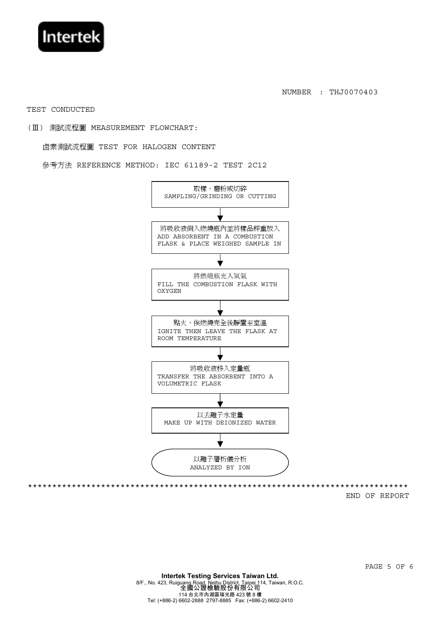

TEST CONDUCTED

(Ⅲ) 測試流程圖 MEASUREMENT FLOWCHART:

鹵素測試流程圖 TEST FOR HALOGEN CONTENT

參考方法 REFERENCE METHOD: IEC 61189-2 TEST 2C12



END OF REPORT